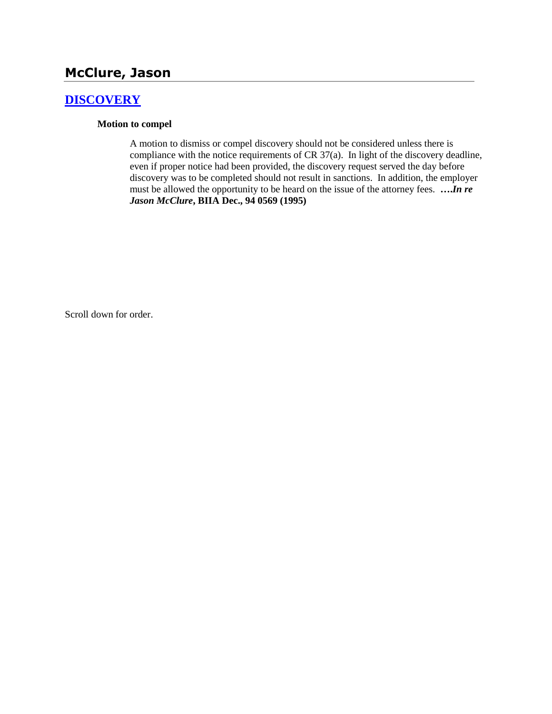# **McClure, Jason**

# **[DISCOVERY](http://www.biia.wa.gov/SDSubjectIndex.html#DISCOVERYFITS)**

#### **Motion to compel**

A motion to dismiss or compel discovery should not be considered unless there is compliance with the notice requirements of CR 37(a). In light of the discovery deadline, even if proper notice had been provided, the discovery request served the day before discovery was to be completed should not result in sanctions. In addition, the employer must be allowed the opportunity to be heard on the issue of the attorney fees. **….***In re Jason McClure***, BIIA Dec., 94 0569 (1995)** 

Scroll down for order.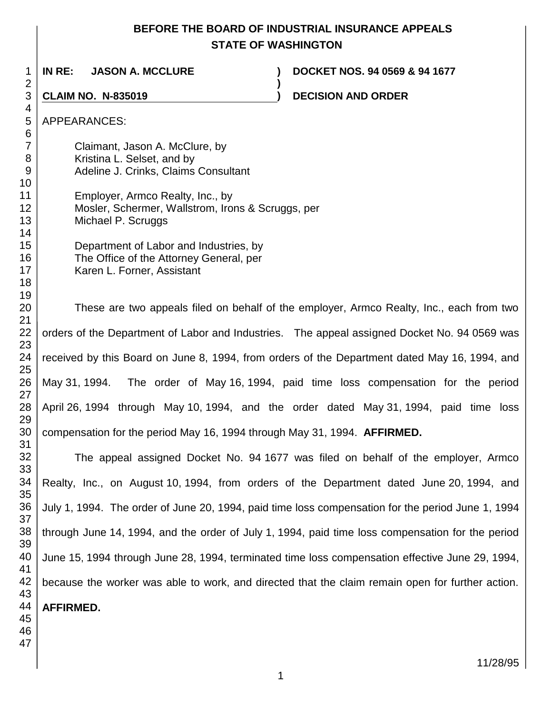# **BEFORE THE BOARD OF INDUSTRIAL INSURANCE APPEALS STATE OF WASHINGTON**

**)**

**IN RE: JASON A. MCCLURE ) DOCKET NOS. 94 0569 & 94 1677**

**CLAIM NO. N-835019 ) DECISION AND ORDER** 

APPEARANCES:

Claimant, Jason A. McClure, by Kristina L. Selset, and by Adeline J. Crinks, Claims Consultant

Employer, Armco Realty, Inc., by Mosler, Schermer, Wallstrom, Irons & Scruggs, per Michael P. Scruggs

> Department of Labor and Industries, by The Office of the Attorney General, per Karen L. Forner, Assistant

These are two appeals filed on behalf of the employer, Armco Realty, Inc., each from two orders of the Department of Labor and Industries. The appeal assigned Docket No. 94 0569 was received by this Board on June 8, 1994, from orders of the Department dated May 16, 1994, and May 31, 1994. The order of May 16, 1994, paid time loss compensation for the period April 26, 1994 through May 10, 1994, and the order dated May 31, 1994, paid time loss compensation for the period May 16, 1994 through May 31, 1994. **AFFIRMED.**

The appeal assigned Docket No. 94 1677 was filed on behalf of the employer, Armco Realty, Inc., on August 10, 1994, from orders of the Department dated June 20, 1994, and July 1, 1994. The order of June 20, 1994, paid time loss compensation for the period June 1, 1994 through June 14, 1994, and the order of July 1, 1994, paid time loss compensation for the period June 15, 1994 through June 28, 1994, terminated time loss compensation effective June 29, 1994, because the worker was able to work, and directed that the claim remain open for further action. **AFFIRMED.**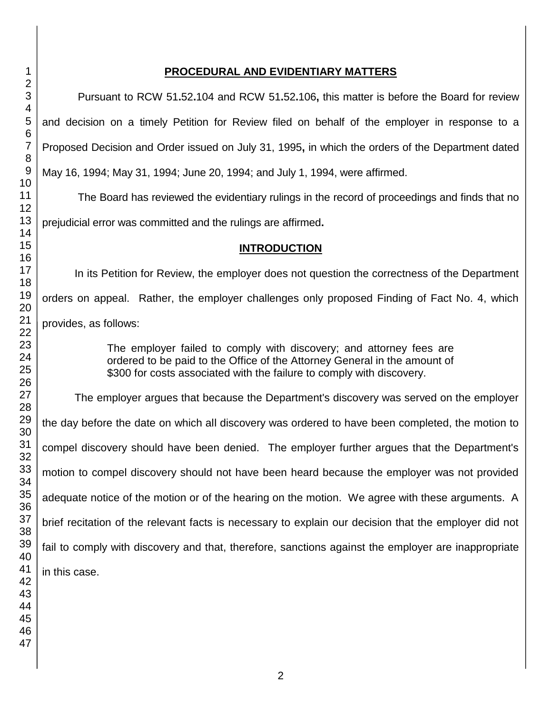#### **PROCEDURAL AND EVIDENTIARY MATTERS**

Pursuant to RCW 51**.**52**.**104 and RCW 51**.**52**.**106**,** this matter is before the Board for review and decision on a timely Petition for Review filed on behalf of the employer in response to a Proposed Decision and Order issued on July 31, 1995**,** in which the orders of the Department dated May 16, 1994; May 31, 1994; June 20, 1994; and July 1, 1994, were affirmed.

The Board has reviewed the evidentiary rulings in the record of proceedings and finds that no prejudicial error was committed and the rulings are affirmed**.**

#### **INTRODUCTION**

In its Petition for Review, the employer does not question the correctness of the Department orders on appeal. Rather, the employer challenges only proposed Finding of Fact No. 4, which provides, as follows:

> The employer failed to comply with discovery; and attorney fees are ordered to be paid to the Office of the Attorney General in the amount of \$300 for costs associated with the failure to comply with discovery.

The employer argues that because the Department's discovery was served on the employer the day before the date on which all discovery was ordered to have been completed, the motion to compel discovery should have been denied. The employer further argues that the Department's motion to compel discovery should not have been heard because the employer was not provided adequate notice of the motion or of the hearing on the motion. We agree with these arguments. A brief recitation of the relevant facts is necessary to explain our decision that the employer did not fail to comply with discovery and that, therefore, sanctions against the employer are inappropriate in this case.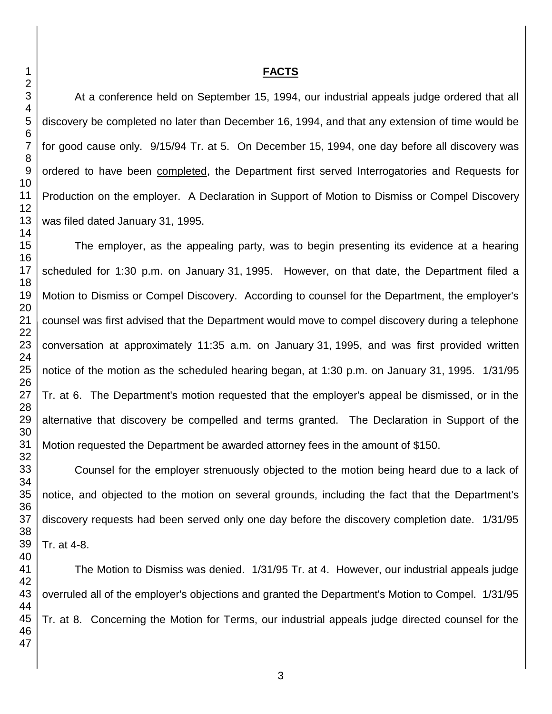#### **FACTS**

At a conference held on September 15, 1994, our industrial appeals judge ordered that all discovery be completed no later than December 16, 1994, and that any extension of time would be for good cause only. 9/15/94 Tr. at 5. On December 15, 1994, one day before all discovery was ordered to have been completed, the Department first served Interrogatories and Requests for Production on the employer. A Declaration in Support of Motion to Dismiss or Compel Discovery was filed dated January 31, 1995.

The employer, as the appealing party, was to begin presenting its evidence at a hearing scheduled for 1:30 p.m. on January 31, 1995. However, on that date, the Department filed a Motion to Dismiss or Compel Discovery. According to counsel for the Department, the employer's counsel was first advised that the Department would move to compel discovery during a telephone conversation at approximately 11:35 a.m. on January 31, 1995, and was first provided written notice of the motion as the scheduled hearing began, at 1:30 p.m. on January 31, 1995. 1/31/95 Tr. at 6. The Department's motion requested that the employer's appeal be dismissed, or in the alternative that discovery be compelled and terms granted. The Declaration in Support of the Motion requested the Department be awarded attorney fees in the amount of \$150.

Counsel for the employer strenuously objected to the motion being heard due to a lack of notice, and objected to the motion on several grounds, including the fact that the Department's discovery requests had been served only one day before the discovery completion date. 1/31/95 Tr. at 4-8.

 The Motion to Dismiss was denied. 1/31/95 Tr. at 4. However, our industrial appeals judge overruled all of the employer's objections and granted the Department's Motion to Compel. 1/31/95 Tr. at 8. Concerning the Motion for Terms, our industrial appeals judge directed counsel for the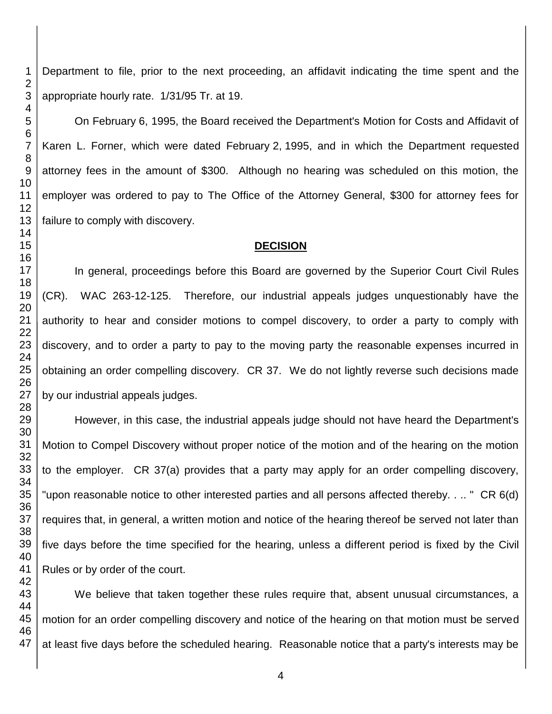Department to file, prior to the next proceeding, an affidavit indicating the time spent and the appropriate hourly rate. 1/31/95 Tr. at 19.

On February 6, 1995, the Board received the Department's Motion for Costs and Affidavit of Karen L. Forner, which were dated February 2, 1995, and in which the Department requested attorney fees in the amount of \$300. Although no hearing was scheduled on this motion, the employer was ordered to pay to The Office of the Attorney General, \$300 for attorney fees for failure to comply with discovery.

#### **DECISION**

In general, proceedings before this Board are governed by the Superior Court Civil Rules (CR). WAC 263-12-125. Therefore, our industrial appeals judges unquestionably have the authority to hear and consider motions to compel discovery, to order a party to comply with discovery, and to order a party to pay to the moving party the reasonable expenses incurred in obtaining an order compelling discovery. CR 37. We do not lightly reverse such decisions made by our industrial appeals judges.

However, in this case, the industrial appeals judge should not have heard the Department's Motion to Compel Discovery without proper notice of the motion and of the hearing on the motion to the employer. CR 37(a) provides that a party may apply for an order compelling discovery, "upon reasonable notice to other interested parties and all persons affected thereby. . .. " CR 6(d) requires that, in general, a written motion and notice of the hearing thereof be served not later than five days before the time specified for the hearing, unless a different period is fixed by the Civil Rules or by order of the court.

We believe that taken together these rules require that, absent unusual circumstances, a motion for an order compelling discovery and notice of the hearing on that motion must be served at least five days before the scheduled hearing. Reasonable notice that a party's interests may be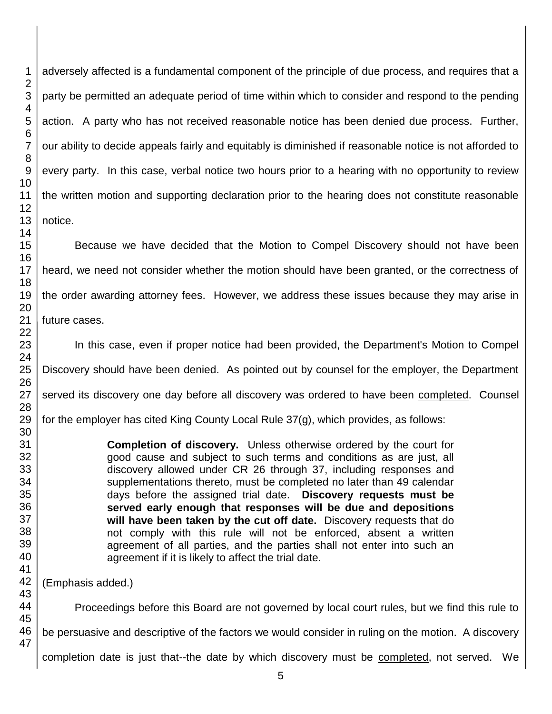adversely affected is a fundamental component of the principle of due process, and requires that a party be permitted an adequate period of time within which to consider and respond to the pending action. A party who has not received reasonable notice has been denied due process. Further, our ability to decide appeals fairly and equitably is diminished if reasonable notice is not afforded to every party. In this case, verbal notice two hours prior to a hearing with no opportunity to review the written motion and supporting declaration prior to the hearing does not constitute reasonable

Because we have decided that the Motion to Compel Discovery should not have been heard, we need not consider whether the motion should have been granted, or the correctness of the order awarding attorney fees. However, we address these issues because they may arise in future cases.

In this case, even if proper notice had been provided, the Department's Motion to Compel Discovery should have been denied. As pointed out by counsel for the employer, the Department served its discovery one day before all discovery was ordered to have been completed. Counsel for the employer has cited King County Local Rule 37(g), which provides, as follows:

> **Completion of discovery.** Unless otherwise ordered by the court for good cause and subject to such terms and conditions as are just, all discovery allowed under CR 26 through 37, including responses and supplementations thereto, must be completed no later than 49 calendar days before the assigned trial date. **Discovery requests must be served early enough that responses will be due and depositions will have been taken by the cut off date.** Discovery requests that do not comply with this rule will not be enforced, absent a written agreement of all parties, and the parties shall not enter into such an agreement if it is likely to affect the trial date.

(Emphasis added.)

 Proceedings before this Board are not governed by local court rules, but we find this rule to be persuasive and descriptive of the factors we would consider in ruling on the motion. A discovery completion date is just that--the date by which discovery must be completed, not served. We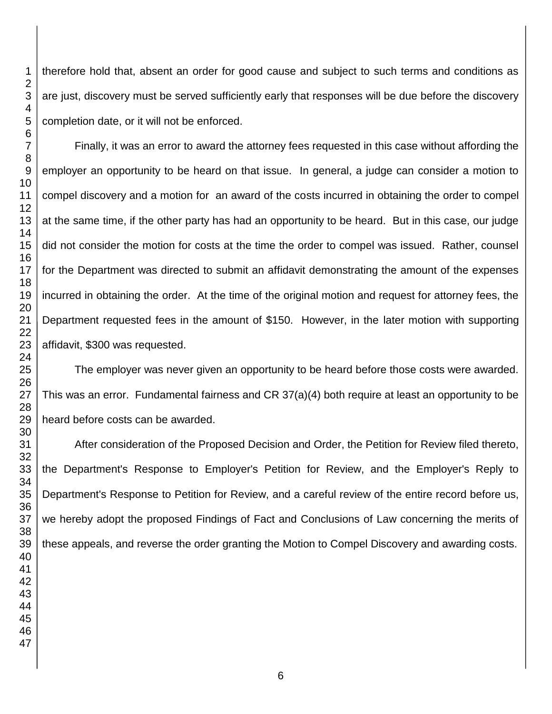therefore hold that, absent an order for good cause and subject to such terms and conditions as are just, discovery must be served sufficiently early that responses will be due before the discovery completion date, or it will not be enforced.

Finally, it was an error to award the attorney fees requested in this case without affording the employer an opportunity to be heard on that issue. In general, a judge can consider a motion to compel discovery and a motion for an award of the costs incurred in obtaining the order to compel at the same time, if the other party has had an opportunity to be heard. But in this case, our judge did not consider the motion for costs at the time the order to compel was issued. Rather, counsel for the Department was directed to submit an affidavit demonstrating the amount of the expenses incurred in obtaining the order. At the time of the original motion and request for attorney fees, the Department requested fees in the amount of \$150. However, in the later motion with supporting affidavit, \$300 was requested.

The employer was never given an opportunity to be heard before those costs were awarded. This was an error. Fundamental fairness and CR 37(a)(4) both require at least an opportunity to be heard before costs can be awarded.

After consideration of the Proposed Decision and Order, the Petition for Review filed thereto, the Department's Response to Employer's Petition for Review, and the Employer's Reply to Department's Response to Petition for Review, and a careful review of the entire record before us, we hereby adopt the proposed Findings of Fact and Conclusions of Law concerning the merits of these appeals, and reverse the order granting the Motion to Compel Discovery and awarding costs.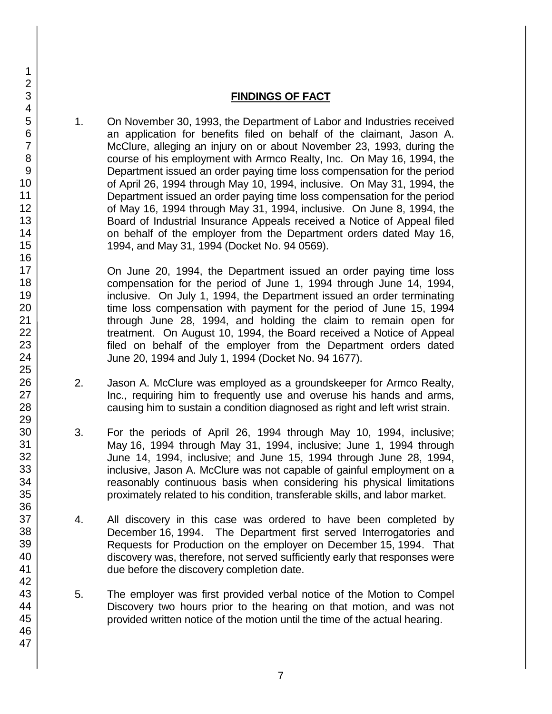# **FINDINGS OF FACT**

1. On November 30, 1993, the Department of Labor and Industries received an application for benefits filed on behalf of the claimant, Jason A. McClure, alleging an injury on or about November 23, 1993, during the course of his employment with Armco Realty, Inc. On May 16, 1994, the Department issued an order paying time loss compensation for the period of April 26, 1994 through May 10, 1994, inclusive. On May 31, 1994, the Department issued an order paying time loss compensation for the period of May 16, 1994 through May 31, 1994, inclusive. On June 8, 1994, the Board of Industrial Insurance Appeals received a Notice of Appeal filed on behalf of the employer from the Department orders dated May 16, 1994, and May 31, 1994 (Docket No. 94 0569).

On June 20, 1994, the Department issued an order paying time loss compensation for the period of June 1, 1994 through June 14, 1994, inclusive. On July 1, 1994, the Department issued an order terminating time loss compensation with payment for the period of June 15, 1994 through June 28, 1994, and holding the claim to remain open for treatment. On August 10, 1994, the Board received a Notice of Appeal filed on behalf of the employer from the Department orders dated June 20, 1994 and July 1, 1994 (Docket No. 94 1677).

- 2. Jason A. McClure was employed as a groundskeeper for Armco Realty, Inc., requiring him to frequently use and overuse his hands and arms, causing him to sustain a condition diagnosed as right and left wrist strain.
- 3. For the periods of April 26, 1994 through May 10, 1994, inclusive; May 16, 1994 through May 31, 1994, inclusive; June 1, 1994 through June 14, 1994, inclusive; and June 15, 1994 through June 28, 1994, inclusive, Jason A. McClure was not capable of gainful employment on a reasonably continuous basis when considering his physical limitations proximately related to his condition, transferable skills, and labor market.
- 4. All discovery in this case was ordered to have been completed by December 16, 1994. The Department first served Interrogatories and Requests for Production on the employer on December 15, 1994. That discovery was, therefore, not served sufficiently early that responses were due before the discovery completion date.
- 5. The employer was first provided verbal notice of the Motion to Compel Discovery two hours prior to the hearing on that motion, and was not provided written notice of the motion until the time of the actual hearing.
- 1 2 3 4 5 6 7 8 9 10 11 12 13 14 15 16 17 18 19 20 21 22 23 24 25 26 27 28 29 30 31 32 33 34 35 36 37 38 39 40 41 42 43 44 45 46 47